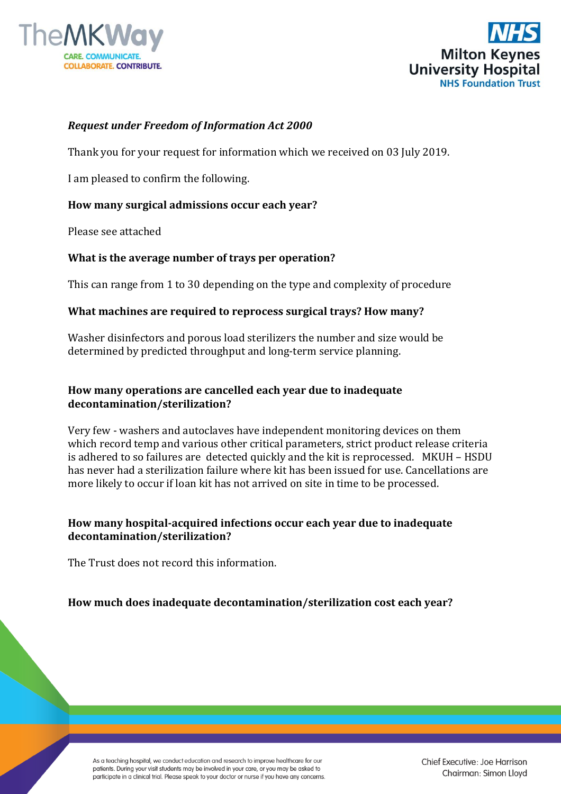



### *Request under Freedom of Information Act 2000*

Thank you for your request for information which we received on 03 July 2019.

I am pleased to confirm the following.

### **How many surgical admissions occur each year?**

Please see attached

### **What is the average number of trays per operation?**

This can range from 1 to 30 depending on the type and complexity of procedure

### **What machines are required to reprocess surgical trays? How many?**

Washer disinfectors and porous load sterilizers the number and size would be determined by predicted throughput and long-term service planning.

# **How many operations are cancelled each year due to inadequate decontamination/sterilization?**

Very few - washers and autoclaves have independent monitoring devices on them which record temp and various other critical parameters, strict product release criteria is adhered to so failures are detected quickly and the kit is reprocessed. MKUH – HSDU has never had a sterilization failure where kit has been issued for use. Cancellations are more likely to occur if loan kit has not arrived on site in time to be processed.

# **How many hospital-acquired infections occur each year due to inadequate decontamination/sterilization?**

The Trust does not record this information.

# **How much does inadequate decontamination/sterilization cost each year?**

As a teaching hospital, we conduct education and research to improve healthcare for our patients. During your visit students may be involved in your care, or you may be asked to participate in a clinical trial. Please speak to your doctor or nurse if you have any concerns.